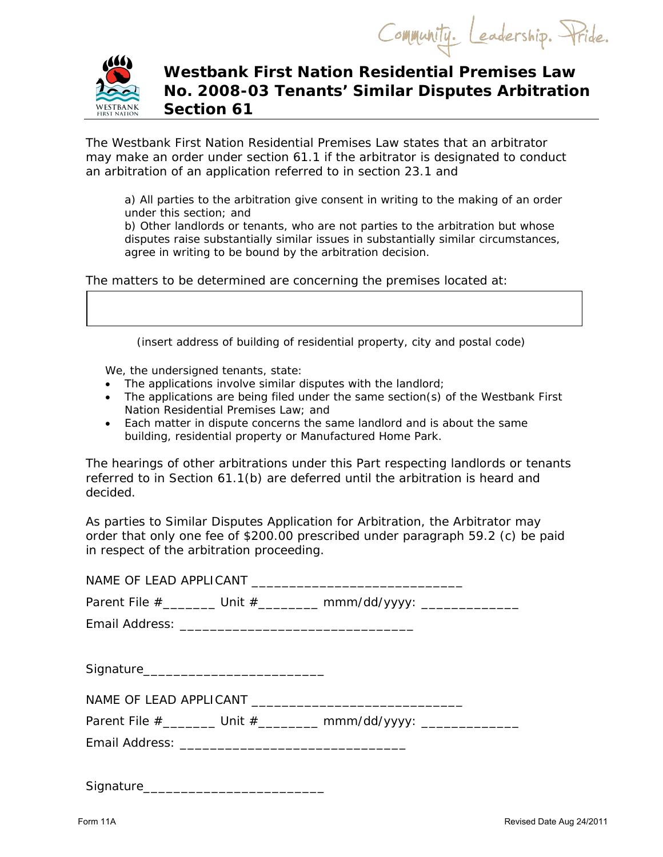Community. Leadership. Pride.



## **Westbank First Nation Residential Premises Law No. 2008-03 Tenants' Similar Disputes Arbitration Section 61**

The Westbank First Nation Residential Premises Law states that an arbitrator may make an order under section 61.1 if the arbitrator is designated to conduct an arbitration of an application referred to in section 23.1 and

a) All parties to the arbitration give consent in writing to the making of an order under this section; and

b) Other landlords or tenants, who are not parties to the arbitration but whose disputes raise substantially similar issues in substantially similar circumstances, agree in writing to be bound by the arbitration decision.

The matters to be determined are concerning the premises located at:

(insert address of building of residential property, city and postal code)

We, the undersigned tenants, state:

- The applications involve similar disputes with the landlord;
- The applications are being filed under the same section(s) of the *Westbank First Nation Residential Premises Law*; and
- Each matter in dispute concerns the same landlord and is about the same building, residential property or Manufactured Home Park.

The hearings of other arbitrations under this Part respecting landlords or tenants referred to in Section 61.1(b) are deferred until the arbitration is heard and decided.

As parties to Similar Disputes Application for Arbitration, the Arbitrator may order that only one fee of \$200.00 prescribed under paragraph 59.2 (c) be paid in respect of the arbitration proceeding.

|  |  | Parent File #________ Unit #_________ mmm/dd/yyyy: ________________ |  |  |  |
|--|--|---------------------------------------------------------------------|--|--|--|
|  |  |                                                                     |  |  |  |
|  |  |                                                                     |  |  |  |
|  |  |                                                                     |  |  |  |
|  |  |                                                                     |  |  |  |
|  |  | Parent File #________ Unit #________ mmm/dd/yyyy: _______________   |  |  |  |
|  |  |                                                                     |  |  |  |
|  |  |                                                                     |  |  |  |
|  |  |                                                                     |  |  |  |

Signature\_\_\_\_\_\_\_\_\_\_\_\_\_\_\_\_\_\_\_\_\_\_\_\_